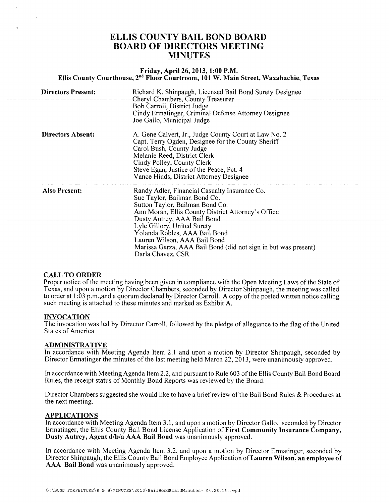# ELLIS COUNTY BAIL BOND BOARD BOARD OF DIRECTORS MEETING **MINUTES**

### Friday, April 26, 2013,1:00 P.M. Ellis County Courthouse, 2<sup>nd</sup> Floor Courtroom, 101 W. Main Street, Waxahachie, Texas

| <b>Directors Present:</b> | Richard K. Shinpaugh, Licensed Bail Bond Surety Designee<br>Cheryl Chambers, County Treasurer                                                                                                                                                                                                |
|---------------------------|----------------------------------------------------------------------------------------------------------------------------------------------------------------------------------------------------------------------------------------------------------------------------------------------|
|                           | Bob Carroll, District Judge<br>Cindy Ermatinger, Criminal Defense Attorney Designee<br>Joe Gallo, Municipal Judge                                                                                                                                                                            |
| <b>Directors Absent:</b>  | A. Gene Calvert, Jr., Judge County Court at Law No. 2<br>Capt. Terry Ogden, Designee for the County Sheriff<br>Carol Bush, County Judge<br>Melanie Reed, District Clerk<br>Cindy Polley, County Clerk<br>Steve Egan, Justice of the Peace, Pct. 4<br>Vance Hinds, District Attorney Designee |
| Also Present:             | Randy Adler, Financial Casualty Insurance Co.<br>Sue Taylor, Bailman Bond Co.<br>Sutton Taylor, Bailman Bond Co.<br>Ann Moran, Ellis County District Attorney's Office<br>Dusty Autrey, AAA Bail Bond.                                                                                       |
|                           | Lyle Gillory, United Surety<br>Yolanda Robles, AAA Bail Bond<br>Lauren Wilson, AAA Bail Bond<br>Marissa Garza, AAA Bail Bond (did not sign in but was present)<br>Darla Chavez, CSR                                                                                                          |

## CALL TO ORDER

Proper notice of the meeting having been given in compliance with the Open Meeting Laws of the State of Texas, and upon a motion by Director Chambers, seconded by Director Shinpaugh, the meeting was called to order at 1 :03 p.m.,and a quorum declared by Director Carroll. A copy of the posted written notice calling such meeting is attached to these minutes and marked as Exhibit A.

#### INVOCATION

The invocation was led by Director CarrolI, followed by the pledge of allegiance to the flag of the United States of America.

#### ADMINISTRATIVE

In accordance with Meeting Agenda Item 2.1 and upon a motion by Director Shinpaugh, seconded by Director Ermatinger the minutes of the last meeting held March 22, 2013, were unanimously approved.

In accordance with Meeting Agenda Item 2.2, and pursuant to Rule 603 ofthe Ellis County Bail Bond Board Rules, the receipt status of Monthly Bond Reports was reviewed by the Board.

Director Chambers suggested she would like to have a brief review of the Bail Bond Rules & Procedures at the next meeting.

### APPLICATIONS

In accordance with Meeting Agenda Item 3.1, and upon a motion by Director Gallo, seconded by Director Ermatinger, the Ellis County Bail Bond License Application of First Community Insurance Company, Dusty Autrey, Agent d/b/a AAA Bail Bond was unanimously approved.

In accordance with Meeting Agenda Item 3.2, and upon a motion by Director Ermatinger, seconded by Director Shinpaugh, the Ellis County Bail Bond Employee Application of Lauren Wilson, an employee of AAA Bail Bond was unanimously approved.